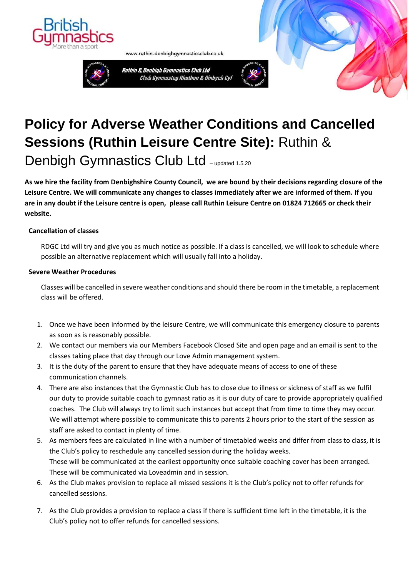



www.ruthin-denbighgymnasticsclub.co.uk



## **Policy for Adverse Weather Conditions and Cancelled Sessions (Ruthin Leisure Centre Site):** Ruthin & Denbigh Gymnastics Club Ltd - updated 1.5.20

**As we hire the facility from Denbighshire County Council, we are bound by their decisions regarding closure of the Leisure Centre. We will communicate any changes to classes immediately after we are informed of them. If you are in any doubt if the Leisure centre is open, please call Ruthin Leisure Centre on 01824 712665 or check their website.**

## **Cancellation of classes**

RDGC Ltd will try and give you as much notice as possible. If a class is cancelled, we will look to schedule where possible an alternative replacement which will usually fall into a holiday.

## **Severe Weather Procedures**

Classes will be cancelled in severe weather conditions and should there be room in the timetable, a replacement class will be offered.

- 1. Once we have been informed by the leisure Centre, we will communicate this emergency closure to parents as soon as is reasonably possible.
- 2. We contact our members via our Members Facebook Closed Site and open page and an email is sent to the classes taking place that day through our Love Admin management system.
- 3. It is the duty of the parent to ensure that they have adequate means of access to one of these communication channels.
- 4. There are also instances that the Gymnastic Club has to close due to illness or sickness of staff as we fulfil our duty to provide suitable coach to gymnast ratio as it is our duty of care to provide appropriately qualified coaches. The Club will always try to limit such instances but accept that from time to time they may occur. We will attempt where possible to communicate this to parents 2 hours prior to the start of the session as staff are asked to contact in plenty of time.
- 5. As members fees are calculated in line with a number of timetabled weeks and differ from class to class, it is the Club's policy to reschedule any cancelled session during the holiday weeks. These will be communicated at the earliest opportunity once suitable coaching cover has been arranged. These will be communicated via Loveadmin and in session.
- 6. As the Club makes provision to replace all missed sessions it is the Club's policy not to offer refunds for cancelled sessions.
- 7. As the Club provides a provision to replace a class if there is sufficient time left in the timetable, it is the Club's policy not to offer refunds for cancelled sessions.